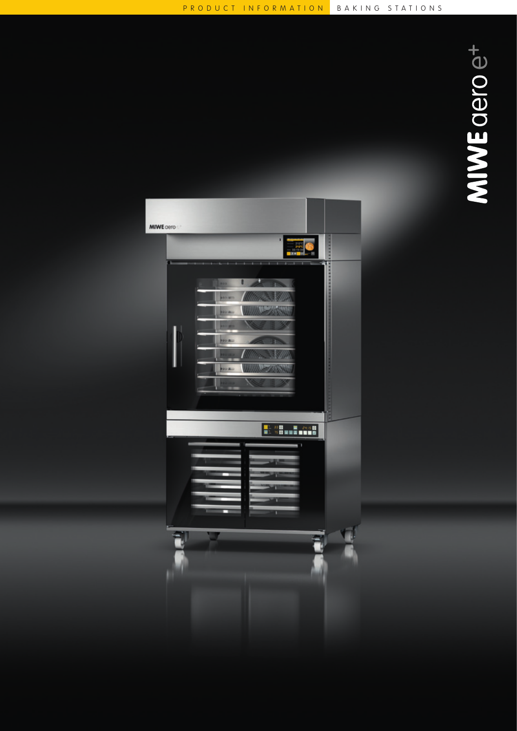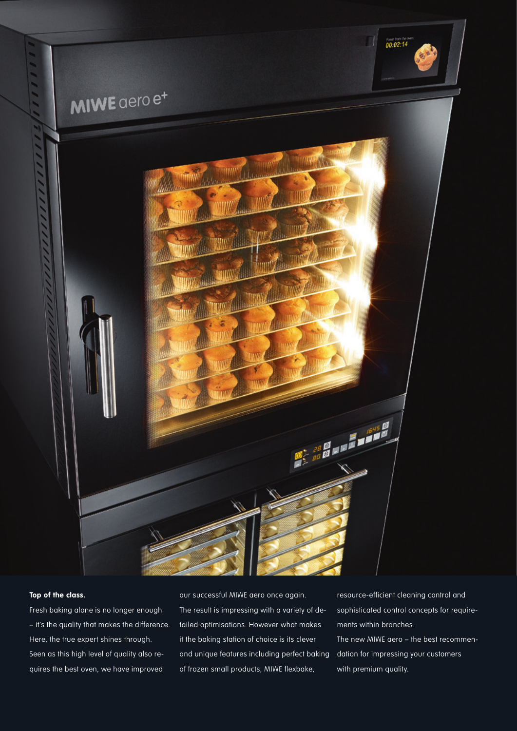

## **Top of the class.**

Fresh baking alone is no longer enough – it's the quality that makes the difference. Here, the true expert shines through. Seen as this high level of quality also requires the best oven, we have improved

our successful MIWE aero once again. The result is impressing with a variety of detailed optimisations. However what makes it the baking station of choice is its clever and unique features including perfect baking of frozen small products, MIWE flexbake,

resource-efficient cleaning control and sophisticated control concepts for requirements within branches. The new MIWE aero – the best recommendation for impressing your customers with premium quality.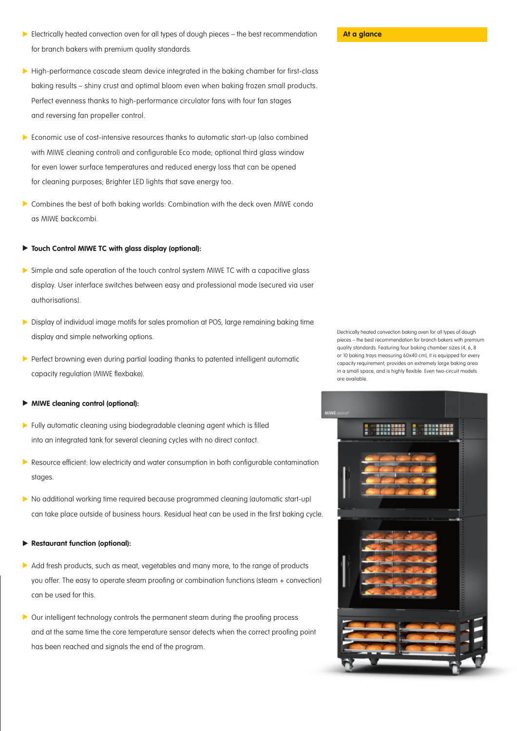- **At a glance** Electrically heated convection oven for all types of dough pieces the best recommendation **At a glance** for branch bakers with premium quality standards.
- ▶ High-performance cascade steam device integrated in the baking chamber for first-class baking results – shiny crust and optimal bloom even when baking frozen small products. Perfect evenness thanks to high-performance circulator fans with four fan stages and reversing fan propeller control.
- Economic use of cost-intensive resources thanks to automatic start-up (also combined with MIWE cleaning control) and configurable Eco mode; optional third glass window for even lower surface temperatures and reduced energy loss that can be opened for cleaning purposes; Brighter LED lights that save energy too.
- Combines the best of both baking worlds: Combination with the deck oven MIWE condo as MIWE backcombi.

## $\blacktriangleright$ **Touch Control MIWE TC with glass display (optional):**

- Simple and safe operation of the touch control system MIWE TC with a capacitive glass display. User interface switches between easy and professional mode (secured via user authorisations).
- Display of individual image motifs for sales promotion at POS, large remaining baking time display and simple networking options.
- Perfect browning even during partial loading thanks to patented intelligent automatic capacity regulation (MIWE flexbake).

## **MIWE cleaning control (optional):**

- Fully automatic cleaning using biodegradable cleaning agent which is filled into an integrated tank for several cleaning cycles with no direct contact.
- **Resource efficient: low electricity and water consumption in both configurable contamination** stages.
- No additional working time required because programmed cleaning (automatic start-up) can take place outside of business hours. Residual heat can be used in the first baking cycle.

## $\blacktriangleright$ **Restaurant function (optional):**

- Add fresh products, such as meat, vegetables and many more, to the range of products you offer. The easy to operate steam proofing or combination functions (steam + convection) can be used for this.
- Our intelligent technology controls the permanent steam during the proofing process and at the same time the core temperature sensor detects when the correct proofing point has been reached and signals the end of the program.

Electrically heated convection baking oven for all types of dough pieces – the best recommendation for branch bakers with premium quality standards. Featuring four baking chamber sizes (4, 6, 8 or 10 baking trays measuring 60x40 cm), it is equipped for every capacity requirement, provides an extremely large baking area in a small space, and is highly flexible. Even two-circuit models are available.